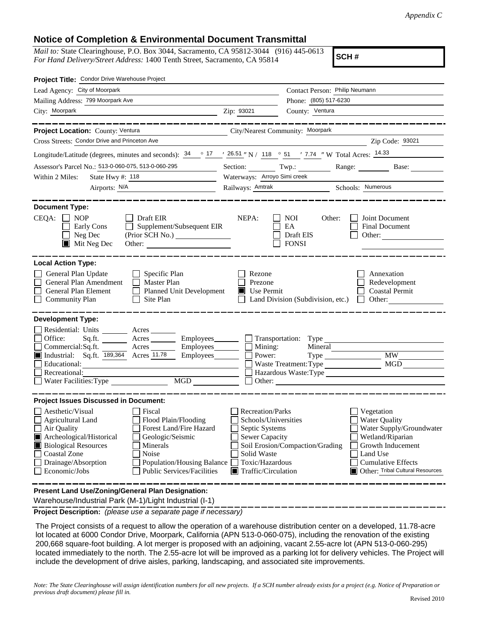## **Notice of Completion & Environmental Document Transmittal**

*Mail to:* State Clearinghouse, P.O. Box 3044, Sacramento, CA 95812-3044 (916) 445-0613 *For Hand Delivery/Street Address:* 1400 Tenth Street, Sacramento, CA 95814

**SCH #**

| Project Title: Condor Drive Warehouse Project                                                                                                                                                                                                                                                                                                                                                                                                                                                                 |                                                                                                                                                             |                                                                                   |                                                                                                                                                                                      |
|---------------------------------------------------------------------------------------------------------------------------------------------------------------------------------------------------------------------------------------------------------------------------------------------------------------------------------------------------------------------------------------------------------------------------------------------------------------------------------------------------------------|-------------------------------------------------------------------------------------------------------------------------------------------------------------|-----------------------------------------------------------------------------------|--------------------------------------------------------------------------------------------------------------------------------------------------------------------------------------|
| Lead Agency: City of Moorpark                                                                                                                                                                                                                                                                                                                                                                                                                                                                                 |                                                                                                                                                             | Contact Person: Philip Neumann                                                    |                                                                                                                                                                                      |
| Mailing Address: 799 Moorpark Ave                                                                                                                                                                                                                                                                                                                                                                                                                                                                             | Phone: (805) 517-6230                                                                                                                                       |                                                                                   |                                                                                                                                                                                      |
| City: Moorpark<br><u> 1989 - Johann Barbara, martin amerikan personal (</u>                                                                                                                                                                                                                                                                                                                                                                                                                                   | Zip: 93021                                                                                                                                                  | County: Ventura                                                                   |                                                                                                                                                                                      |
|                                                                                                                                                                                                                                                                                                                                                                                                                                                                                                               |                                                                                                                                                             |                                                                                   | -----------------                                                                                                                                                                    |
| Project Location: County: Ventura<br>City/Nearest Community: Moorpark                                                                                                                                                                                                                                                                                                                                                                                                                                         |                                                                                                                                                             |                                                                                   |                                                                                                                                                                                      |
| Cross Streets: Condor Drive and Princeton Ave                                                                                                                                                                                                                                                                                                                                                                                                                                                                 |                                                                                                                                                             | <u> 1989 - Andrea Andrew Maria (b. 1989)</u>                                      | Zip Code: 93021                                                                                                                                                                      |
| Longitude/Latitude (degrees, minutes and seconds): $\frac{34}{17}$ $\frac{26.51}{17}$ N / 118 $\degree$ 51 $\degree$ 7.74 "W Total Acres: $\frac{14.33}{14.33}$                                                                                                                                                                                                                                                                                                                                               |                                                                                                                                                             |                                                                                   |                                                                                                                                                                                      |
| Assessor's Parcel No.: 513-0-060-075, 513-0-060-295<br>$\label{eq:2.1} \frac{1}{\sqrt{2}}\left(\frac{1}{\sqrt{2}}\right)^{2} \left(\frac{1}{\sqrt{2}}\right)^{2} \left(\frac{1}{\sqrt{2}}\right)^{2} \left(\frac{1}{\sqrt{2}}\right)^{2} \left(\frac{1}{\sqrt{2}}\right)^{2} \left(\frac{1}{\sqrt{2}}\right)^{2} \left(\frac{1}{\sqrt{2}}\right)^{2} \left(\frac{1}{\sqrt{2}}\right)^{2} \left(\frac{1}{\sqrt{2}}\right)^{2} \left(\frac{1}{\sqrt{2}}\right)^{2} \left(\frac{1}{\sqrt{2}}\right)^{2} \left(\$ |                                                                                                                                                             |                                                                                   | Section: Twp.: Range: Base:                                                                                                                                                          |
| Within 2 Miles:<br>State Hwy #: 118                                                                                                                                                                                                                                                                                                                                                                                                                                                                           | Waterways: Arroyo Simi creek                                                                                                                                |                                                                                   |                                                                                                                                                                                      |
|                                                                                                                                                                                                                                                                                                                                                                                                                                                                                                               |                                                                                                                                                             | Railways: <u>Amtrak Schools: Numerous</u>                                         |                                                                                                                                                                                      |
| <b>Document Type:</b><br>$CEQA: \Box NOP$<br>Ⅰ Ⅰ Draft EIR<br>Supplement/Subsequent EIR<br>Early Cons<br>Neg Dec<br>$\blacksquare$<br>$\blacksquare$ Mit Neg Dec<br>Other:                                                                                                                                                                                                                                                                                                                                    | NEPA:                                                                                                                                                       | <b>NOI</b><br>Other:<br>EA<br>Draft EIS<br><b>FONSI</b>                           | Joint Document<br><b>Final Document</b><br>Other:                                                                                                                                    |
| <b>Local Action Type:</b><br>General Plan Update<br>$\Box$ Specific Plan<br>General Plan Amendment<br>$\Box$ Master Plan<br>General Plan Element<br>Planned Unit Development<br><b>Community Plan</b><br>$\Box$ Site Plan                                                                                                                                                                                                                                                                                     | Rezone<br>Prezone<br>$\blacksquare$ Use Permit                                                                                                              | Land Division (Subdivision, etc.)                                                 | Annexation<br>Redevelopment<br><b>Coastal Permit</b><br>$\Box$ Other:                                                                                                                |
| <b>Development Type:</b>                                                                                                                                                                                                                                                                                                                                                                                                                                                                                      |                                                                                                                                                             |                                                                                   |                                                                                                                                                                                      |
| Residential: Units ________ Acres _______<br>Office:<br>Acres Employees Transportation: Type<br>Sq.ft.<br>$\overline{\phantom{a}}$ Acres __________ Employees _________ $\Box$ Mining:<br>Commercial:Sq.ft.<br>Industrial: Sq.ft. 189,364 Acres 11.78<br>Educational:<br>Recreational:<br>MGD<br>Water Facilities: Type                                                                                                                                                                                       | Power:<br>Other:                                                                                                                                            | Mineral<br>Waste Treatment: Type<br><u> 1989 - Andrea Andrew Maria (h. 1989).</u> | Type MW<br>Hazardous Waste:Type                                                                                                                                                      |
| <b>Project Issues Discussed in Document:</b>                                                                                                                                                                                                                                                                                                                                                                                                                                                                  |                                                                                                                                                             |                                                                                   |                                                                                                                                                                                      |
| Aesthetic/Visual<br>  Fiscal<br>Flood Plain/Flooding<br><b>Agricultural Land</b><br>Forest Land/Fire Hazard<br>Air Quality<br>Archeological/Historical<br>Geologic/Seismic<br><b>Biological Resources</b><br>Minerals<br>Coastal Zone<br>Noise<br>Drainage/Absorption<br>Population/Housing Balance<br>Economic/Jobs<br><b>Public Services/Facilities</b>                                                                                                                                                     | Recreation/Parks<br>Schools/Universities<br>Septic Systems<br><b>Sewer Capacity</b><br>Solid Waste<br>Toxic/Hazardous<br>$\blacksquare$ Traffic/Circulation | Soil Erosion/Compaction/Grading                                                   | Vegetation<br><b>Water Quality</b><br>Water Supply/Groundwater<br>Wetland/Riparian<br>Growth Inducement<br>Land Use<br><b>Cumulative Effects</b><br>Other: Tribal Cultural Resources |
| Present Land Use/Zoning/General Plan Designation:                                                                                                                                                                                                                                                                                                                                                                                                                                                             |                                                                                                                                                             |                                                                                   |                                                                                                                                                                                      |

Warehouse/Industrial Park (M-1)/Light Industrial (I-1)

**Project Description:** *(please use a separate page if necessary)*

 The Project consists of a request to allow the operation of a warehouse distribution center on a developed, 11.78-acre lot located at 6000 Condor Drive, Moorpark, California (APN 513-0-060-075), including the renovation of the existing 200,668 square-foot building. A lot merger is proposed with an adjoining, vacant 2.55-acre lot (APN 513-0-060-295) located immediately to the north. The 2.55-acre lot will be improved as a parking lot for delivery vehicles. The Project will include the development of drive aisles, parking, landscaping, and associated site improvements.

*Note: The State Clearinghouse will assign identification numbers for all new projects. If a SCH number already exists for a project (e.g. Notice of Preparation or previous draft document) please fill in.*